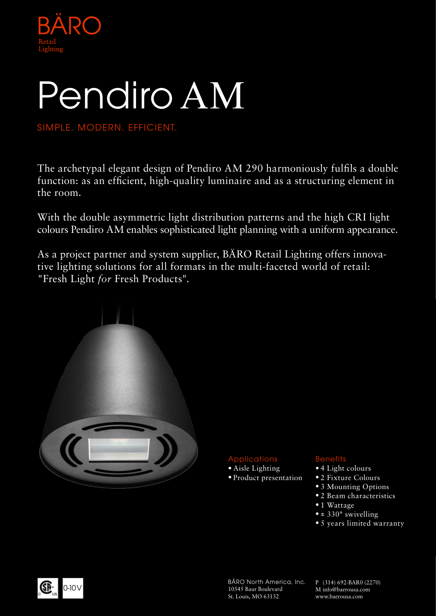

# Pendiro AM

SIMPLE. MODERN. EFFICIENT.

The archetypal elegant design of Pendiro AM 290 harmoniously fulfils a double function: as an efficient, high-quality luminaire and as a structuring element in the room.

With the double asymmetric light distribution patterns and the high CRI light colours Pendiro AM enables sophisticated light planning with a uniform appearance.

As a project partner and system supplier, BÄRO Retail Lighting offers innovative lighting solutions for all formats in the multi-faceted world of retail: "Fresh Light *for* Fresh Products".



## Applications

- Aisle Lighting
- Product presentation

## **Benefits**

- 4 Light colours
- 2 Fixture Colours
- 3 Mounting Options
- 2 Beam characteristics
- 1 Wattage
- $\bullet$  ± 330 $\circ$  swivelling
- 5 years limited warranty



BÄRO North America, Inc. 10545 Baur Boulevard St. Louis, MO 63132

P (314) 692-BAR0 (2270) M info@baerousa.com www.baerousa.com